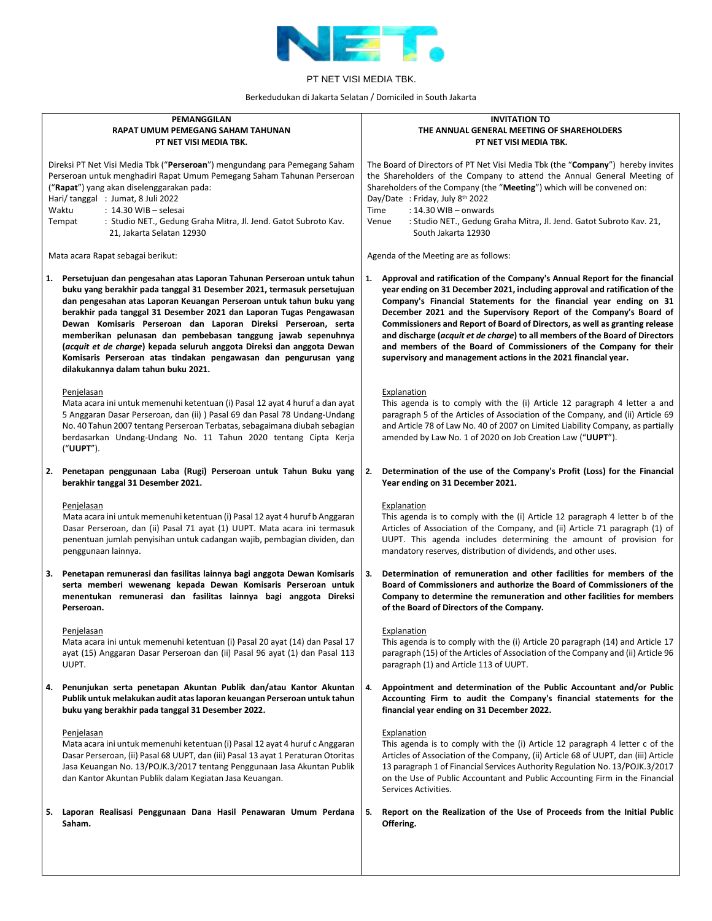

Berkedudukan di Jakarta Selatan / Domiciled in South Jakarta

| PEMANGGILAN                                                                                                                                                                                                                                                                                                                                                                                                                                                                                                                                                                                                                  | <b>INVITATION TO</b>                                                                                                                                                                                                                                                                                                                                                                                                                                                                                                                                                                                               |  |
|------------------------------------------------------------------------------------------------------------------------------------------------------------------------------------------------------------------------------------------------------------------------------------------------------------------------------------------------------------------------------------------------------------------------------------------------------------------------------------------------------------------------------------------------------------------------------------------------------------------------------|--------------------------------------------------------------------------------------------------------------------------------------------------------------------------------------------------------------------------------------------------------------------------------------------------------------------------------------------------------------------------------------------------------------------------------------------------------------------------------------------------------------------------------------------------------------------------------------------------------------------|--|
| RAPAT UMUM PEMEGANG SAHAM TAHUNAN                                                                                                                                                                                                                                                                                                                                                                                                                                                                                                                                                                                            | THE ANNUAL GENERAL MEETING OF SHAREHOLDERS                                                                                                                                                                                                                                                                                                                                                                                                                                                                                                                                                                         |  |
| PT NET VISI MEDIA TBK.                                                                                                                                                                                                                                                                                                                                                                                                                                                                                                                                                                                                       | PT NET VISI MEDIA TBK.                                                                                                                                                                                                                                                                                                                                                                                                                                                                                                                                                                                             |  |
| Direksi PT Net Visi Media Tbk ("Perseroan") mengundang para Pemegang Saham                                                                                                                                                                                                                                                                                                                                                                                                                                                                                                                                                   | The Board of Directors of PT Net Visi Media Tbk (the "Company") hereby invites                                                                                                                                                                                                                                                                                                                                                                                                                                                                                                                                     |  |
| Perseroan untuk menghadiri Rapat Umum Pemegang Saham Tahunan Perseroan                                                                                                                                                                                                                                                                                                                                                                                                                                                                                                                                                       | the Shareholders of the Company to attend the Annual General Meeting of                                                                                                                                                                                                                                                                                                                                                                                                                                                                                                                                            |  |
| ("Rapat") yang akan diselenggarakan pada:                                                                                                                                                                                                                                                                                                                                                                                                                                                                                                                                                                                    | Shareholders of the Company (the "Meeting") which will be convened on:                                                                                                                                                                                                                                                                                                                                                                                                                                                                                                                                             |  |
| Hari/tanggal: Jumat, 8 Juli 2022                                                                                                                                                                                                                                                                                                                                                                                                                                                                                                                                                                                             | Day/Date: Friday, July 8th 2022                                                                                                                                                                                                                                                                                                                                                                                                                                                                                                                                                                                    |  |
| Waktu                                                                                                                                                                                                                                                                                                                                                                                                                                                                                                                                                                                                                        | : 14.30 WIB - onwards                                                                                                                                                                                                                                                                                                                                                                                                                                                                                                                                                                                              |  |
| $: 14.30$ WIB - selesai                                                                                                                                                                                                                                                                                                                                                                                                                                                                                                                                                                                                      | Time                                                                                                                                                                                                                                                                                                                                                                                                                                                                                                                                                                                                               |  |
| : Studio NET., Gedung Graha Mitra, Jl. Jend. Gatot Subroto Kav.                                                                                                                                                                                                                                                                                                                                                                                                                                                                                                                                                              | Venue                                                                                                                                                                                                                                                                                                                                                                                                                                                                                                                                                                                                              |  |
| Tempat                                                                                                                                                                                                                                                                                                                                                                                                                                                                                                                                                                                                                       | : Studio NET., Gedung Graha Mitra, Jl. Jend. Gatot Subroto Kav. 21,                                                                                                                                                                                                                                                                                                                                                                                                                                                                                                                                                |  |
| 21, Jakarta Selatan 12930                                                                                                                                                                                                                                                                                                                                                                                                                                                                                                                                                                                                    | South Jakarta 12930                                                                                                                                                                                                                                                                                                                                                                                                                                                                                                                                                                                                |  |
| Mata acara Rapat sebagai berikut:                                                                                                                                                                                                                                                                                                                                                                                                                                                                                                                                                                                            | Agenda of the Meeting are as follows:                                                                                                                                                                                                                                                                                                                                                                                                                                                                                                                                                                              |  |
| Persetujuan dan pengesahan atas Laporan Tahunan Perseroan untuk tahun<br>1.<br>buku yang berakhir pada tanggal 31 Desember 2021, termasuk persetujuan<br>dan pengesahan atas Laporan Keuangan Perseroan untuk tahun buku yang<br>berakhir pada tanggal 31 Desember 2021 dan Laporan Tugas Pengawasan<br>Dewan Komisaris Perseroan dan Laporan Direksi Perseroan, serta<br>memberikan pelunasan dan pembebasan tanggung jawab sepenuhnya<br>(acquit et de charge) kepada seluruh anggota Direksi dan anggota Dewan<br>Komisaris Perseroan atas tindakan pengawasan dan pengurusan yang<br>dilakukannya dalam tahun buku 2021. | Approval and ratification of the Company's Annual Report for the financial<br>1.<br>year ending on 31 December 2021, including approval and ratification of the<br>Company's Financial Statements for the financial year ending on 31<br>December 2021 and the Supervisory Report of the Company's Board of<br>Commissioners and Report of Board of Directors, as well as granting release<br>and discharge (acquit et de charge) to all members of the Board of Directors<br>and members of the Board of Commissioners of the Company for their<br>supervisory and management actions in the 2021 financial year. |  |
| Penjelasan<br>Mata acara ini untuk memenuhi ketentuan (i) Pasal 12 ayat 4 huruf a dan ayat<br>5 Anggaran Dasar Perseroan, dan (ii) ) Pasal 69 dan Pasal 78 Undang-Undang<br>No. 40 Tahun 2007 tentang Perseroan Terbatas, sebagaimana diubah sebagian<br>berdasarkan Undang-Undang No. 11 Tahun 2020 tentang Cipta Kerja<br>("UUPT").                                                                                                                                                                                                                                                                                        | Explanation<br>This agenda is to comply with the (i) Article 12 paragraph 4 letter a and<br>paragraph 5 of the Articles of Association of the Company, and (ii) Article 69<br>and Article 78 of Law No. 40 of 2007 on Limited Liability Company, as partially<br>amended by Law No. 1 of 2020 on Job Creation Law ("UUPT").                                                                                                                                                                                                                                                                                        |  |
| 2. Penetapan penggunaan Laba (Rugi) Perseroan untuk Tahun Buku yang<br>berakhir tanggal 31 Desember 2021.                                                                                                                                                                                                                                                                                                                                                                                                                                                                                                                    | 2.<br>Determination of the use of the Company's Profit (Loss) for the Financial<br>Year ending on 31 December 2021.                                                                                                                                                                                                                                                                                                                                                                                                                                                                                                |  |
| Penjelasan                                                                                                                                                                                                                                                                                                                                                                                                                                                                                                                                                                                                                   | Explanation                                                                                                                                                                                                                                                                                                                                                                                                                                                                                                                                                                                                        |  |
| Mata acara ini untuk memenuhi ketentuan (i) Pasal 12 ayat 4 huruf b Anggaran                                                                                                                                                                                                                                                                                                                                                                                                                                                                                                                                                 | This agenda is to comply with the (i) Article 12 paragraph 4 letter b of the                                                                                                                                                                                                                                                                                                                                                                                                                                                                                                                                       |  |
| Dasar Perseroan, dan (ii) Pasal 71 ayat (1) UUPT. Mata acara ini termasuk                                                                                                                                                                                                                                                                                                                                                                                                                                                                                                                                                    | Articles of Association of the Company, and (ii) Article 71 paragraph (1) of                                                                                                                                                                                                                                                                                                                                                                                                                                                                                                                                       |  |
| penentuan jumlah penyisihan untuk cadangan wajib, pembagian dividen, dan                                                                                                                                                                                                                                                                                                                                                                                                                                                                                                                                                     | UUPT. This agenda includes determining the amount of provision for                                                                                                                                                                                                                                                                                                                                                                                                                                                                                                                                                 |  |
| penggunaan lainnya.                                                                                                                                                                                                                                                                                                                                                                                                                                                                                                                                                                                                          | mandatory reserves, distribution of dividends, and other uses.                                                                                                                                                                                                                                                                                                                                                                                                                                                                                                                                                     |  |
| Penetapan remunerasi dan fasilitas lainnya bagi anggota Dewan Komisaris                                                                                                                                                                                                                                                                                                                                                                                                                                                                                                                                                      | Determination of remuneration and other facilities for members of the                                                                                                                                                                                                                                                                                                                                                                                                                                                                                                                                              |  |
| 3.                                                                                                                                                                                                                                                                                                                                                                                                                                                                                                                                                                                                                           | 3.                                                                                                                                                                                                                                                                                                                                                                                                                                                                                                                                                                                                                 |  |
| serta memberi wewenang kepada Dewan Komisaris Perseroan untuk                                                                                                                                                                                                                                                                                                                                                                                                                                                                                                                                                                | Board of Commissioners and authorize the Board of Commissioners of the                                                                                                                                                                                                                                                                                                                                                                                                                                                                                                                                             |  |
| menentukan remunerasi dan fasilitas lainnya bagi anggota Direksi                                                                                                                                                                                                                                                                                                                                                                                                                                                                                                                                                             | Company to determine the remuneration and other facilities for members                                                                                                                                                                                                                                                                                                                                                                                                                                                                                                                                             |  |
| Perseroan.                                                                                                                                                                                                                                                                                                                                                                                                                                                                                                                                                                                                                   | of the Board of Directors of the Company.                                                                                                                                                                                                                                                                                                                                                                                                                                                                                                                                                                          |  |
| Penjelasan                                                                                                                                                                                                                                                                                                                                                                                                                                                                                                                                                                                                                   | Explanation                                                                                                                                                                                                                                                                                                                                                                                                                                                                                                                                                                                                        |  |
| Mata acara ini untuk memenuhi ketentuan (i) Pasal 20 ayat (14) dan Pasal 17                                                                                                                                                                                                                                                                                                                                                                                                                                                                                                                                                  | This agenda is to comply with the (i) Article 20 paragraph (14) and Article 17                                                                                                                                                                                                                                                                                                                                                                                                                                                                                                                                     |  |
| ayat (15) Anggaran Dasar Perseroan dan (ii) Pasal 96 ayat (1) dan Pasal 113                                                                                                                                                                                                                                                                                                                                                                                                                                                                                                                                                  | paragraph (15) of the Articles of Association of the Company and (ii) Article 96                                                                                                                                                                                                                                                                                                                                                                                                                                                                                                                                   |  |
| UUPT.                                                                                                                                                                                                                                                                                                                                                                                                                                                                                                                                                                                                                        | paragraph (1) and Article 113 of UUPT.                                                                                                                                                                                                                                                                                                                                                                                                                                                                                                                                                                             |  |
| Penunjukan serta penetapan Akuntan Publik dan/atau Kantor Akuntan                                                                                                                                                                                                                                                                                                                                                                                                                                                                                                                                                            | Appointment and determination of the Public Accountant and/or Public                                                                                                                                                                                                                                                                                                                                                                                                                                                                                                                                               |  |
| 4.                                                                                                                                                                                                                                                                                                                                                                                                                                                                                                                                                                                                                           | 4.                                                                                                                                                                                                                                                                                                                                                                                                                                                                                                                                                                                                                 |  |
| Publik untuk melakukan audit atas laporan keuangan Perseroan untuk tahun                                                                                                                                                                                                                                                                                                                                                                                                                                                                                                                                                     | Accounting Firm to audit the Company's financial statements for the                                                                                                                                                                                                                                                                                                                                                                                                                                                                                                                                                |  |
| buku yang berakhir pada tanggal 31 Desember 2022.                                                                                                                                                                                                                                                                                                                                                                                                                                                                                                                                                                            | financial year ending on 31 December 2022.                                                                                                                                                                                                                                                                                                                                                                                                                                                                                                                                                                         |  |
| Penjelasan<br>Mata acara ini untuk memenuhi ketentuan (i) Pasal 12 ayat 4 huruf c Anggaran<br>Dasar Perseroan, (ii) Pasal 68 UUPT, dan (iii) Pasal 13 ayat 1 Peraturan Otoritas<br>Jasa Keuangan No. 13/POJK.3/2017 tentang Penggunaan Jasa Akuntan Publik<br>dan Kantor Akuntan Publik dalam Kegiatan Jasa Keuangan.                                                                                                                                                                                                                                                                                                        | Explanation<br>This agenda is to comply with the (i) Article 12 paragraph 4 letter c of the<br>Articles of Association of the Company, (ii) Article 68 of UUPT, dan (iii) Article<br>13 paragraph 1 of Financial Services Authority Regulation No. 13/POJK.3/2017<br>on the Use of Public Accountant and Public Accounting Firm in the Financial<br>Services Activities.                                                                                                                                                                                                                                           |  |
| Laporan Realisasi Penggunaan Dana Hasil Penawaran Umum Perdana                                                                                                                                                                                                                                                                                                                                                                                                                                                                                                                                                               | Report on the Realization of the Use of Proceeds from the Initial Public                                                                                                                                                                                                                                                                                                                                                                                                                                                                                                                                           |  |
| 5.                                                                                                                                                                                                                                                                                                                                                                                                                                                                                                                                                                                                                           | 5.                                                                                                                                                                                                                                                                                                                                                                                                                                                                                                                                                                                                                 |  |
| Saham.                                                                                                                                                                                                                                                                                                                                                                                                                                                                                                                                                                                                                       | Offering.                                                                                                                                                                                                                                                                                                                                                                                                                                                                                                                                                                                                          |  |
|                                                                                                                                                                                                                                                                                                                                                                                                                                                                                                                                                                                                                              |                                                                                                                                                                                                                                                                                                                                                                                                                                                                                                                                                                                                                    |  |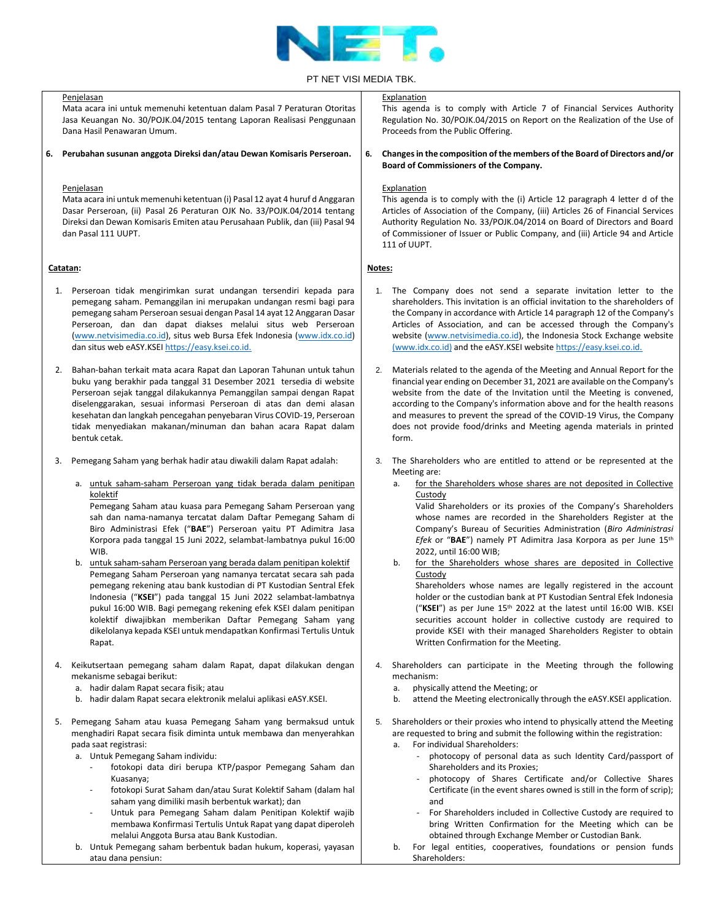

|          | Penjelasan                                                                                                                                                                                                                                                                                                                                                                                                                                                                                                                                                                                                                                                                                                                                                                                                                                                        | Explanation                                                                                                                                                                                                                                                                                                                                                                                                                                                                                                                                                                                                                                                                                                                                                                                                                                                              |  |
|----------|-------------------------------------------------------------------------------------------------------------------------------------------------------------------------------------------------------------------------------------------------------------------------------------------------------------------------------------------------------------------------------------------------------------------------------------------------------------------------------------------------------------------------------------------------------------------------------------------------------------------------------------------------------------------------------------------------------------------------------------------------------------------------------------------------------------------------------------------------------------------|--------------------------------------------------------------------------------------------------------------------------------------------------------------------------------------------------------------------------------------------------------------------------------------------------------------------------------------------------------------------------------------------------------------------------------------------------------------------------------------------------------------------------------------------------------------------------------------------------------------------------------------------------------------------------------------------------------------------------------------------------------------------------------------------------------------------------------------------------------------------------|--|
|          | Mata acara ini untuk memenuhi ketentuan dalam Pasal 7 Peraturan Otoritas<br>Jasa Keuangan No. 30/POJK.04/2015 tentang Laporan Realisasi Penggunaan<br>Dana Hasil Penawaran Umum.                                                                                                                                                                                                                                                                                                                                                                                                                                                                                                                                                                                                                                                                                  | This agenda is to comply with Article 7 of Financial Services Authority<br>Regulation No. 30/POJK.04/2015 on Report on the Realization of the Use of<br>Proceeds from the Public Offering.                                                                                                                                                                                                                                                                                                                                                                                                                                                                                                                                                                                                                                                                               |  |
|          | 6. Perubahan susunan anggota Direksi dan/atau Dewan Komisaris Perseroan.                                                                                                                                                                                                                                                                                                                                                                                                                                                                                                                                                                                                                                                                                                                                                                                          | Changes in the composition of the members of the Board of Directors and/or<br>6.<br>Board of Commissioners of the Company.                                                                                                                                                                                                                                                                                                                                                                                                                                                                                                                                                                                                                                                                                                                                               |  |
|          | Penjelasan<br>Mata acara ini untuk memenuhi ketentuan (i) Pasal 12 ayat 4 huruf d Anggaran<br>Dasar Perseroan, (ii) Pasal 26 Peraturan OJK No. 33/POJK.04/2014 tentang<br>Direksi dan Dewan Komisaris Emiten atau Perusahaan Publik, dan (iii) Pasal 94<br>dan Pasal 111 UUPT.                                                                                                                                                                                                                                                                                                                                                                                                                                                                                                                                                                                    | Explanation<br>This agenda is to comply with the (i) Article 12 paragraph 4 letter d of the<br>Articles of Association of the Company, (iii) Articles 26 of Financial Services<br>Authority Regulation No. 33/POJK.04/2014 on Board of Directors and Board<br>of Commissioner of Issuer or Public Company, and (iii) Article 94 and Article<br>111 of UUPT.                                                                                                                                                                                                                                                                                                                                                                                                                                                                                                              |  |
| Catatan: |                                                                                                                                                                                                                                                                                                                                                                                                                                                                                                                                                                                                                                                                                                                                                                                                                                                                   | Notes:                                                                                                                                                                                                                                                                                                                                                                                                                                                                                                                                                                                                                                                                                                                                                                                                                                                                   |  |
| 1.       | Perseroan tidak mengirimkan surat undangan tersendiri kepada para<br>pemegang saham. Pemanggilan ini merupakan undangan resmi bagi para<br>pemegang saham Perseroan sesuai dengan Pasal 14 ayat 12 Anggaran Dasar<br>Perseroan, dan dan dapat diakses melalui situs web Perseroan<br>(www.netvisimedia.co.id), situs web Bursa Efek Indonesia (www.idx.co.id)<br>dan situs web eASY.KSEI https://easy.ksei.co.id.                                                                                                                                                                                                                                                                                                                                                                                                                                                 | The Company does not send a separate invitation letter to the<br>1.<br>shareholders. This invitation is an official invitation to the shareholders of<br>the Company in accordance with Article 14 paragraph 12 of the Company's<br>Articles of Association, and can be accessed through the Company's<br>website (www.netvisimedia.co.id), the Indonesia Stock Exchange website<br>(www.idx.co.id) and the eASY.KSEI website https://easy.ksei.co.id.                                                                                                                                                                                                                                                                                                                                                                                                                   |  |
| 2.       | Bahan-bahan terkait mata acara Rapat dan Laporan Tahunan untuk tahun<br>buku yang berakhir pada tanggal 31 Desember 2021 tersedia di website<br>Perseroan sejak tanggal dilakukannya Pemanggilan sampai dengan Rapat<br>diselenggarakan, sesuai informasi Perseroan di atas dan demi alasan<br>kesehatan dan langkah pencegahan penyebaran Virus COVID-19, Perseroan<br>tidak menyediakan makanan/minuman dan bahan acara Rapat dalam<br>bentuk cetak.                                                                                                                                                                                                                                                                                                                                                                                                            | Materials related to the agenda of the Meeting and Annual Report for the<br>2.<br>financial year ending on December 31, 2021 are available on the Company's<br>website from the date of the Invitation until the Meeting is convened,<br>according to the Company's information above and for the health reasons<br>and measures to prevent the spread of the COVID-19 Virus, the Company<br>does not provide food/drinks and Meeting agenda materials in printed<br>form.                                                                                                                                                                                                                                                                                                                                                                                               |  |
| 3.       | Pemegang Saham yang berhak hadir atau diwakili dalam Rapat adalah:                                                                                                                                                                                                                                                                                                                                                                                                                                                                                                                                                                                                                                                                                                                                                                                                | The Shareholders who are entitled to attend or be represented at the<br>3.<br>Meeting are:                                                                                                                                                                                                                                                                                                                                                                                                                                                                                                                                                                                                                                                                                                                                                                               |  |
|          | a. untuk saham-saham Perseroan yang tidak berada dalam penitipan<br>kolektif<br>Pemegang Saham atau kuasa para Pemegang Saham Perseroan yang<br>sah dan nama-namanya tercatat dalam Daftar Pemegang Saham di<br>Biro Administrasi Efek ("BAE") Perseroan yaitu PT Adimitra Jasa<br>Korpora pada tanggal 15 Juni 2022, selambat-lambatnya pukul 16:00<br>WIB.<br>b. untuk saham-saham Perseroan yang berada dalam penitipan kolektif<br>Pemegang Saham Perseroan yang namanya tercatat secara sah pada<br>pemegang rekening atau bank kustodian di PT Kustodian Sentral Efek<br>Indonesia ("KSEI") pada tanggal 15 Juni 2022 selambat-lambatnya<br>pukul 16:00 WIB. Bagi pemegang rekening efek KSEI dalam penitipan<br>kolektif diwajibkan memberikan Daftar Pemegang Saham yang<br>dikelolanya kepada KSEI untuk mendapatkan Konfirmasi Tertulis Untuk<br>Rapat. | for the Shareholders whose shares are not deposited in Collective<br>a.<br>Custody<br>Valid Shareholders or its proxies of the Company's Shareholders<br>whose names are recorded in the Shareholders Register at the<br>Company's Bureau of Securities Administration (Biro Administrasi<br>Efek or "BAE") namely PT Adimitra Jasa Korpora as per June 15th<br>2022, until 16:00 WIB;<br>b.<br>for the Shareholders whose shares are deposited in Collective<br>Custody<br>Shareholders whose names are legally registered in the account<br>holder or the custodian bank at PT Kustodian Sentral Efek Indonesia<br>("KSEI") as per June $15th$ 2022 at the latest until 16:00 WIB. KSEI<br>securities account holder in collective custody are required to<br>provide KSEI with their managed Shareholders Register to obtain<br>Written Confirmation for the Meeting. |  |
| 4.       | Keikutsertaan pemegang saham dalam Rapat, dapat dilakukan dengan<br>mekanisme sebagai berikut:<br>a. hadir dalam Rapat secara fisik; atau<br>b. hadir dalam Rapat secara elektronik melalui aplikasi eASY.KSEI.                                                                                                                                                                                                                                                                                                                                                                                                                                                                                                                                                                                                                                                   | Shareholders can participate in the Meeting through the following<br>4.<br>mechanism:<br>physically attend the Meeting; or<br>a.<br>attend the Meeting electronically through the eASY.KSEI application.<br>b.                                                                                                                                                                                                                                                                                                                                                                                                                                                                                                                                                                                                                                                           |  |
| 5.       | Pemegang Saham atau kuasa Pemegang Saham yang bermaksud untuk<br>menghadiri Rapat secara fisik diminta untuk membawa dan menyerahkan<br>pada saat registrasi:<br>a. Untuk Pemegang Saham individu:<br>fotokopi data diri berupa KTP/paspor Pemegang Saham dan<br>Kuasanya;<br>fotokopi Surat Saham dan/atau Surat Kolektif Saham (dalam hal<br>saham yang dimiliki masih berbentuk warkat); dan<br>Untuk para Pemegang Saham dalam Penitipan Kolektif wajib<br>membawa Konfirmasi Tertulis Untuk Rapat yang dapat diperoleh<br>melalui Anggota Bursa atau Bank Kustodian.<br>b. Untuk Pemegang saham berbentuk badan hukum, koperasi, yayasan<br>atau dana pensiun:                                                                                                                                                                                               | Shareholders or their proxies who intend to physically attend the Meeting<br>5.<br>are requested to bring and submit the following within the registration:<br>For individual Shareholders:<br>а.<br>photocopy of personal data as such Identity Card/passport of<br>Shareholders and its Proxies;<br>photocopy of Shares Certificate and/or Collective Shares<br>Certificate (in the event shares owned is still in the form of scrip);<br>and<br>For Shareholders included in Collective Custody are required to<br>bring Written Confirmation for the Meeting which can be<br>obtained through Exchange Member or Custodian Bank.<br>For legal entities, cooperatives, foundations or pension funds<br>b.<br>Shareholders:                                                                                                                                            |  |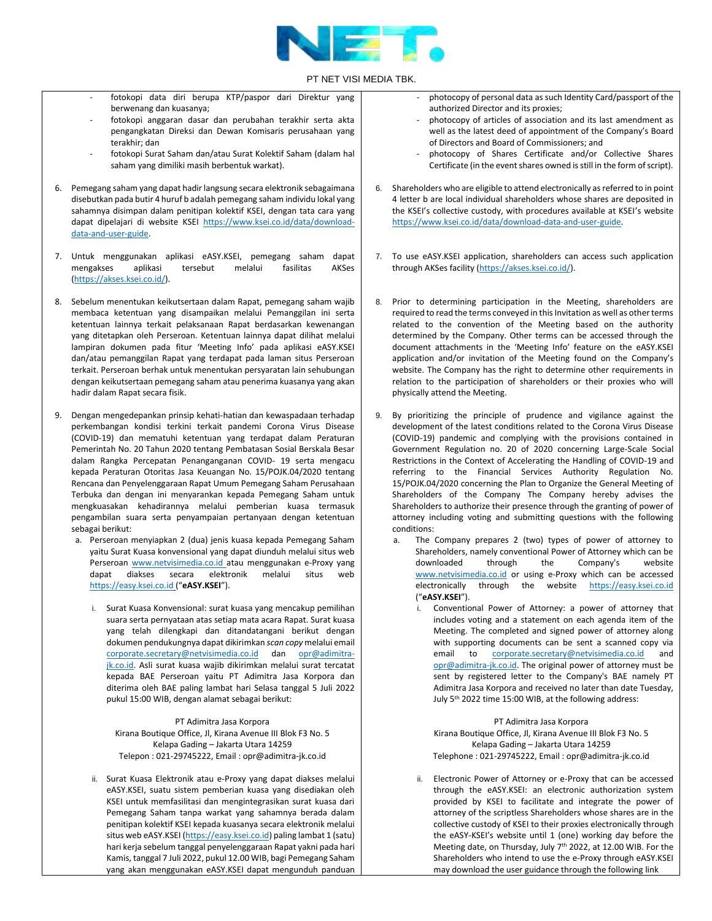

- fotokopi data diri berupa KTP/paspor dari Direktur yang berwenang dan kuasanya;
- fotokopi anggaran dasar dan perubahan terakhir serta akta pengangkatan Direksi dan Dewan Komisaris perusahaan yang terakhir; dan
- fotokopi Surat Saham dan/atau Surat Kolektif Saham (dalam hal saham yang dimiliki masih berbentuk warkat).
- 6. Pemegang saham yang dapat hadir langsung secara elektronik sebagaimana disebutkan pada butir 4 huruf b adalah pemegang saham individu lokal yang sahamnya disimpan dalam penitipan kolektif KSEI, dengan tata cara yang dapat dipelajari di website KSEI [https://www.ksei.co.id/data/download](https://www.ksei.co.id/data/download-data-and-user-guide)[data-and-user-guide.](https://www.ksei.co.id/data/download-data-and-user-guide)
- 7. Untuk menggunakan aplikasi eASY.KSEI, pemegang saham dapat mengakses [\(https://akses.ksei.co.id/\)](https://akses.ksei.co.id/).
- 8. Sebelum menentukan keikutsertaan dalam Rapat, pemegang saham wajib membaca ketentuan yang disampaikan melalui Pemanggilan ini serta ketentuan lainnya terkait pelaksanaan Rapat berdasarkan kewenangan yang ditetapkan oleh Perseroan. Ketentuan lainnya dapat dilihat melalui lampiran dokumen pada fitur 'Meeting Info' pada aplikasi eASY.KSEI dan/atau pemanggilan Rapat yang terdapat pada laman situs Perseroan terkait. Perseroan berhak untuk menentukan persyaratan lain sehubungan dengan keikutsertaan pemegang saham atau penerima kuasanya yang akan hadir dalam Rapat secara fisik.
- 9. Dengan mengedepankan prinsip kehati-hatian dan kewaspadaan terhadap perkembangan kondisi terkini terkait pandemi Corona Virus Disease (COVID-19) dan mematuhi ketentuan yang terdapat dalam Peraturan Pemerintah No. 20 Tahun 2020 tentang Pembatasan Sosial Berskala Besar dalam Rangka Percepatan Penanganganan COVID- 19 serta mengacu kepada Peraturan Otoritas Jasa Keuangan No. 15/POJK.04/2020 tentang Rencana dan Penyelenggaraan Rapat Umum Pemegang Saham Perusahaan Terbuka dan dengan ini menyarankan kepada Pemegang Saham untuk mengkuasakan kehadirannya melalui pemberian kuasa termasuk pengambilan suara serta penyampaian pertanyaan dengan ketentuan sebagai berikut:
	- a. Perseroan menyiapkan 2 (dua) jenis kuasa kepada Pemegang Saham yaitu Surat Kuasa konvensional yang dapat diunduh melalui situs web Perseroan www.netvisimedia.co.id atau menggunakan e-Proxy yang dapat diakses secara elektronik melalui situs web [https://easy.ksei.co.id](https://easy.ksei.co.id/) ("**eASY.KSEI**").
		- i. Surat Kuasa Konvensional: surat kuasa yang mencakup pemilihan suara serta pernyataan atas setiap mata acara Rapat. Surat kuasa yang telah dilengkapi dan ditandatangani berikut dengan dokumen pendukungnya dapat dikirimkan *scan copy* melalui email [corporate.secretary@netvisimedia.co.id](mailto:corporate.secretary@netvisimedia.co.id) dan [opr@adimitra](mailto:opr@adimitra-jk.co.id)[jk.co.id.](mailto:opr@adimitra-jk.co.id) Asli surat kuasa wajib dikirimkan melalui surat tercatat kepada BAE Perseroan yaitu PT Adimitra Jasa Korpora dan diterima oleh BAE paling lambat hari Selasa tanggal 5 Juli 2022 pukul 15:00 WIB, dengan alamat sebagai berikut:

PT Adimitra Jasa Korpora Kirana Boutique Office, Jl, Kirana Avenue III Blok F3 No. 5 Kelapa Gading – Jakarta Utara 14259 Telepon : 021-29745222, Email : opr@adimitra-jk.co.id

ii. Surat Kuasa Elektronik atau e-Proxy yang dapat diakses melalui eASY.KSEI, suatu sistem pemberian kuasa yang disediakan oleh KSEI untuk memfasilitasi dan mengintegrasikan surat kuasa dari Pemegang Saham tanpa warkat yang sahamnya berada dalam penitipan kolektif KSEI kepada kuasanya secara elektronik melalui situs web eASY.KSEI [\(https://easy.ksei.co.id\)](https://easy.ksei.co.id/) paling lambat 1 (satu) hari kerja sebelum tanggal penyelenggaraan Rapat yakni pada hari Kamis, tanggal 7 Juli 2022, pukul 12.00 WIB, bagi Pemegang Saham yang akan menggunakan eASY.KSEI dapat mengunduh panduan

- photocopy of personal data as such Identity Card/passport of the authorized Director and its proxies;
- photocopy of articles of association and its last amendment as well as the latest deed of appointment of the Company's Board of Directors and Board of Commissioners; and
- photocopy of Shares Certificate and/or Collective Shares Certificate (in the event shares owned is still in the form of script).
- 6. Shareholders who are eligible to attend electronically as referred to in point 4 letter b are local individual shareholders whose shares are deposited in the KSEI's collective custody, with procedures available at KSEI's website [https://www.ksei.co.id/data/download-data-and-user-guide.](https://www.ksei.co.id/data/download-data-and-user-guide)
- 7. To use eASY.KSEI application, shareholders can access such application through AKSes facility [\(https://akses.ksei.co.id/\)](https://akses.ksei.co.id/).
- 8. Prior to determining participation in the Meeting, shareholders are required to read the terms conveyed in this Invitation as well as other terms related to the convention of the Meeting based on the authority determined by the Company. Other terms can be accessed through the document attachments in the 'Meeting Info' feature on the eASY.KSEI application and/or invitation of the Meeting found on the Company's website. The Company has the right to determine other requirements in relation to the participation of shareholders or their proxies who will physically attend the Meeting.
- 9. By prioritizing the principle of prudence and vigilance against the development of the latest conditions related to the Corona Virus Disease (COVID-19) pandemic and complying with the provisions contained in Government Regulation no. 20 of 2020 concerning Large-Scale Social Restrictions in the Context of Accelerating the Handling of COVID-19 and referring to the Financial Services Authority Regulation No. 15/POJK.04/2020 concerning the Plan to Organize the General Meeting of Shareholders of the Company The Company hereby advises the Shareholders to authorize their presence through the granting of power of attorney including voting and submitting questions with the following conditions:
	- a. The Company prepares 2 (two) types of power of attorney to Shareholders, namely conventional Power of Attorney which can be downloaded through the Company's website [www.netvisimedia.co.id](http://www.netvisimedia.co.id/) or using e-Proxy which can be accessed electronically through the website [https://easy.ksei.co.id](https://easy.ksei.co.id/)  ("**eASY.KSEI**").
		- i. Conventional Power of Attorney: a power of attorney that includes voting and a statement on each agenda item of the Meeting. The completed and signed power of attorney along with supporting documents can be sent a scanned copy via email to [corporate.secretary@netvisimedia.co.id](mailto:corporate.secretary@netvisimedia.co.id) and [opr@adimitra-jk.co.id.](mailto:opr@adimitra-jk.co.id) The original power of attorney must be sent by registered letter to the Company's BAE namely PT Adimitra Jasa Korpora and received no later than date Tuesday, July 5th 2022 time 15:00 WIB, at the following address:

PT Adimitra Jasa Korpora Kirana Boutique Office, Jl, Kirana Avenue III Blok F3 No. 5 Kelapa Gading – Jakarta Utara 14259 Telephone : 021-29745222, Email : opr@adimitra-jk.co.id

ii. Electronic Power of Attorney or e-Proxy that can be accessed through the eASY.KSEI: an electronic authorization system provided by KSEI to facilitate and integrate the power of attorney of the scriptless Shareholders whose shares are in the collective custody of KSEI to their proxies electronically through the eASY-KSEI's website until 1 (one) working day before the Meeting date, on Thursday, July 7<sup>th</sup> 2022, at 12.00 WIB. For the Shareholders who intend to use the e-Proxy through eASY.KSEI may download the user guidance through the following link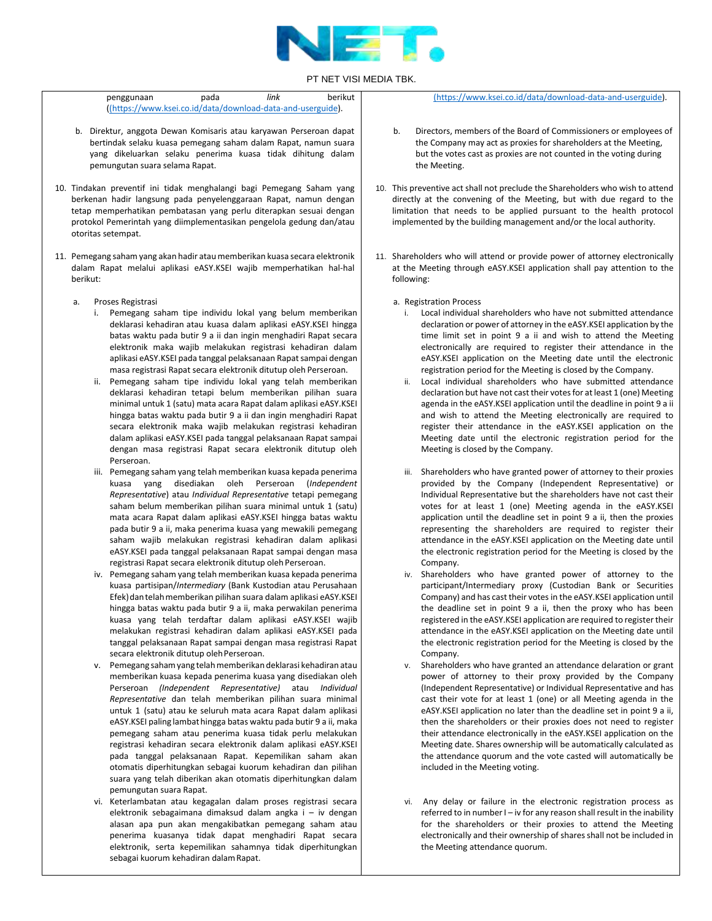

| penggunaan                                                  | pada | link | berikut |
|-------------------------------------------------------------|------|------|---------|
| ((https://www.ksei.co.id/data/download-data-and-userguide). |      |      |         |

- b. Direktur, anggota Dewan Komisaris atau karyawan Perseroan dapat bertindak selaku kuasa pemegang saham dalam Rapat, namun suara yang dikeluarkan selaku penerima kuasa tidak dihitung dalam pemungutan suara selama Rapat.
- 10. Tindakan preventif ini tidak menghalangi bagi Pemegang Saham yang berkenan hadir langsung pada penyelenggaraan Rapat, namun dengan tetap memperhatikan pembatasan yang perlu diterapkan sesuai dengan protokol Pemerintah yang diimplementasikan pengelola gedung dan/atau otoritas setempat.
- 11. Pemegang saham yang akan hadir atau memberikan kuasa secara elektronik dalam Rapat melalui aplikasi eASY.KSEI wajib memperhatikan hal-hal berikut:
	- a. Proses Registrasi
		- i. Pemegang saham tipe individu lokal yang belum memberikan deklarasi kehadiran atau kuasa dalam aplikasi eASY.KSEI hingga batas waktu pada butir 9 a ii dan ingin menghadiri Rapat secara elektronik maka wajib melakukan registrasi kehadiran dalam aplikasi eASY.KSEI pada tanggal pelaksanaan Rapat sampai dengan masa registrasi Rapat secara elektronik ditutup oleh Perseroan.
		- ii. Pemegang saham tipe individu lokal yang telah memberikan deklarasi kehadiran tetapi belum memberikan pilihan suara minimal untuk 1 (satu) mata acara Rapat dalam aplikasi eASY.KSEI hingga batas waktu pada butir 9 a ii dan ingin menghadiri Rapat secara elektronik maka wajib melakukan registrasi kehadiran dalam aplikasi eASY.KSEI pada tanggal pelaksanaan Rapat sampai dengan masa registrasi Rapat secara elektronik ditutup oleh Perseroan.
		- iii. Pemegang saham yang telah memberikan kuasa kepada penerima kuasa yang disediakan oleh Perseroan (*Independent Representative*) atau *Individual Representative* tetapi pemegang saham belum memberikan pilihan suara minimal untuk 1 (satu) mata acara Rapat dalam aplikasi eASY.KSEI hingga batas waktu pada butir 9 a ii, maka penerima kuasa yang mewakili pemegang saham wajib melakukan registrasi kehadiran dalam aplikasi eASY.KSEI pada tanggal pelaksanaan Rapat sampai dengan masa registrasi Rapat secara elektronik ditutup oleh Perseroan.
		- iv. Pemegang saham yang telah memberikan kuasa kepada penerima kuasa partisipan/*Intermediary* (Bank Kustodian atau Perusahaan Efek) dan telah memberikan pilihan suara dalam aplikasi eASY.KSEI hingga batas waktu pada butir 9 a ii, maka perwakilan penerima kuasa yang telah terdaftar dalam aplikasi eASY.KSEI wajib melakukan registrasi kehadiran dalam aplikasi eASY.KSEI pada tanggal pelaksanaan Rapat sampai dengan masa registrasi Rapat secara elektronik ditutup oleh Perseroan.
		- v. Pemegang sahamyang telahmemberikan deklarasi kehadiran atau memberikan kuasa kepada penerima kuasa yang disediakan oleh Perseroan *(Independent Representative)* atau *Individual Representative* dan telah memberikan pilihan suara minimal untuk 1 (satu) atau ke seluruh mata acara Rapat dalam aplikasi eASY.KSEI paling lambat hingga batas waktu pada butir 9 a ii, maka pemegang saham atau penerima kuasa tidak perlu melakukan registrasi kehadiran secara elektronik dalam aplikasi eASY.KSEI pada tanggal pelaksanaan Rapat. Kepemilikan saham akan otomatis diperhitungkan sebagai kuorum kehadiran dan pilihan suara yang telah diberikan akan otomatis diperhitungkan dalam pemungutan suara Rapat.
		- vi. Keterlambatan atau kegagalan dalam proses registrasi secara elektronik sebagaimana dimaksud dalam angka i – iv dengan alasan apa pun akan mengakibatkan pemegang saham atau penerima kuasanya tidak dapat menghadiri Rapat secara elektronik, serta kepemilikan sahamnya tidak diperhitungkan sebagai kuorum kehadiran dalamRapat.

[\(https://www.ksei.co.id/data/download-data-and-userguide\).](https://www.ksei.co.id/data/download-data-and-userguide)

- b. Directors, members of the Board of Commissioners or employees of the Company may act as proxies for shareholders at the Meeting, but the votes cast as proxies are not counted in the voting during the Meeting.
- 10. This preventive act shall not preclude the Shareholders who wish to attend directly at the convening of the Meeting, but with due regard to the limitation that needs to be applied pursuant to the health protocol implemented by the building management and/or the local authority.
- 11. Shareholders who will attend or provide power of attorney electronically at the Meeting through eASY.KSEI application shall pay attention to the following:
	- a. Registration Process
		- Local individual shareholders who have not submitted attendance declaration or power of attorney in the eASY.KSEI application by the time limit set in point 9 a ii and wish to attend the Meeting electronically are required to register their attendance in the eASY.KSEI application on the Meeting date until the electronic registration period for the Meeting is closed by the Company.
		- ii. Local individual shareholders who have submitted attendance declaration but have not cast their votes for at least 1 (one) Meeting agenda in the eASY.KSEI application until the deadline in point 9 a ii and wish to attend the Meeting electronically are required to register their attendance in the eASY.KSEI application on the Meeting date until the electronic registration period for the Meeting is closed by the Company.
		- iii. Shareholders who have granted power of attorney to their proxies provided by the Company (Independent Representative) or Individual Representative but the shareholders have not cast their votes for at least 1 (one) Meeting agenda in the eASY.KSEI application until the deadline set in point 9 a ii, then the proxies representing the shareholders are required to register their attendance in the eASY.KSEI application on the Meeting date until the electronic registration period for the Meeting is closed by the Company.
		- iv. Shareholders who have granted power of attorney to the participant/Intermediary proxy (Custodian Bank or Securities Company) and has cast their votes in the eASY.KSEI application until the deadline set in point 9 a ii, then the proxy who has been registered in the eASY.KSEI application are required to register their attendance in the eASY.KSEI application on the Meeting date until the electronic registration period for the Meeting is closed by the Company.
		- v. Shareholders who have granted an attendance delaration or grant power of attorney to their proxy provided by the Company (Independent Representative) or Individual Representative and has cast their vote for at least 1 (one) or all Meeting agenda in the eASY.KSEI application no later than the deadline set in point 9 a ii, then the shareholders or their proxies does not need to register their attendance electronically in the eASY.KSEI application on the Meeting date. Shares ownership will be automatically calculated as the attendance quorum and the vote casted will automatically be included in the Meeting voting.
		- vi. Any delay or failure in the electronic registration process as referred to in number I – iv for any reason shall result in the inability for the shareholders or their proxies to attend the Meeting electronically and their ownership of shares shall not be included in the Meeting attendance quorum.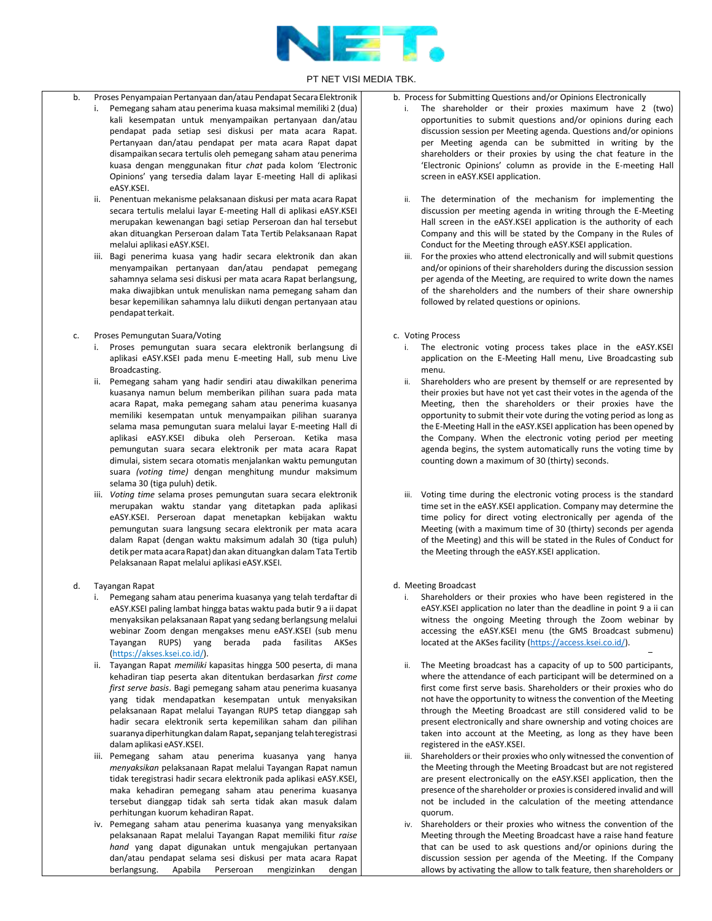

- b. Proses Penyampaian Pertanyaan dan/atau Pendapat Secara Elektronik
	- i. Pemegang saham atau penerima kuasa maksimal memiliki 2 (dua) kali kesempatan untuk menyampaikan pertanyaan dan/atau pendapat pada setiap sesi diskusi per mata acara Rapat. Pertanyaan dan/atau pendapat per mata acara Rapat dapat disampaikan secara tertulis oleh pemegang saham atau penerima kuasa dengan menggunakan fitur *chat* pada kolom 'Electronic Opinions' yang tersedia dalam layar E-meeting Hall di aplikasi eASY.KSEI.
	- ii. Penentuan mekanisme pelaksanaan diskusi per mata acara Rapat secara tertulis melalui layar E-meeting Hall di aplikasi eASY.KSEI merupakan kewenangan bagi setiap Perseroan dan hal tersebut akan dituangkan Perseroan dalam Tata Tertib Pelaksanaan Rapat melalui aplikasi eASY.KSEI.
	- iii. Bagi penerima kuasa yang hadir secara elektronik dan akan menyampaikan pertanyaan dan/atau pendapat pemegang sahamnya selama sesi diskusi per mata acara Rapat berlangsung, maka diwajibkan untuk menuliskan nama pemegang saham dan besar kepemilikan sahamnya lalu diikuti dengan pertanyaan atau pendapatterkait.
	- c. Proses Pemungutan Suara/Voting
		- i. Proses pemungutan suara secara elektronik berlangsung di aplikasi eASY.KSEI pada menu E-meeting Hall, sub menu Live Broadcasting.
		- ii. Pemegang saham yang hadir sendiri atau diwakilkan penerima kuasanya namun belum memberikan pilihan suara pada mata acara Rapat, maka pemegang saham atau penerima kuasanya memiliki kesempatan untuk menyampaikan pilihan suaranya selama masa pemungutan suara melalui layar E-meeting Hall di aplikasi eASY.KSEI dibuka oleh Perseroan. Ketika masa pemungutan suara secara elektronik per mata acara Rapat dimulai, sistem secara otomatis menjalankan waktu pemungutan suara *(voting time)* dengan menghitung mundur maksimum selama 30 (tiga puluh) detik.
		- iii. *Voting time* selama proses pemungutan suara secara elektronik merupakan waktu standar yang ditetapkan pada aplikasi eASY.KSEI. Perseroan dapat menetapkan kebijakan waktu pemungutan suara langsung secara elektronik per mata acara dalam Rapat (dengan waktu maksimum adalah 30 (tiga puluh) detik per mata acara Rapat) dan akan dituangkan dalam Tata Tertib Pelaksanaan Rapat melalui aplikasi eASY.KSEI.
	- d. Tayangan Rapat
		- i. Pemegang saham atau penerima kuasanya yang telah terdaftar di eASY.KSEI paling lambat hingga batas waktu pada butir 9 a ii dapat menyaksikan pelaksanaan Rapat yang sedang berlangsung melalui webinar Zoom dengan mengakses menu eASY.KSEI (sub menu Tayangan RUPS) yang berada pada fasilitas AKSes [\(https://akses.ksei.co.id/\)](https://akses.ksei.co.id/).
		- ii. Tayangan Rapat *memiliki* kapasitas hingga 500 peserta, di mana kehadiran tiap peserta akan ditentukan berdasarkan *first come first serve basis*. Bagi pemegang saham atau penerima kuasanya yang tidak mendapatkan kesempatan untuk menyaksikan pelaksanaan Rapat melalui Tayangan RUPS tetap dianggap sah hadir secara elektronik serta kepemilikan saham dan pilihan suaranya diperhitungkan dalamRapat**,**sepanjang telahteregistrasi dalamaplikasi eASY.KSEI.
		- iii. Pemegang saham atau penerima kuasanya yang hanya *menyaksikan* pelaksanaan Rapat melalui Tayangan Rapat namun tidak teregistrasi hadir secara elektronik pada aplikasi eASY.KSEI, maka kehadiran pemegang saham atau penerima kuasanya tersebut dianggap tidak sah serta tidak akan masuk dalam perhitungan kuorum kehadiran Rapat.
		- iv. Pemegang saham atau penerima kuasanya yang menyaksikan pelaksanaan Rapat melalui Tayangan Rapat memiliki fitur *raise hand* yang dapat digunakan untuk mengajukan pertanyaan dan/atau pendapat selama sesi diskusi per mata acara Rapat berlangsung. Apabila Perseroan mengizinkan dengan
- b. Process for Submitting Questions and/or Opinions Electronically
	- i. The shareholder or their proxies maximum have 2 (two) opportunities to submit questions and/or opinions during each discussion session per Meeting agenda. Questions and/or opinions per Meeting agenda can be submitted in writing by the shareholders or their proxies by using the chat feature in the 'Electronic Opinions' column as provide in the E-meeting Hall screen in eASY.KSEI application.
	- ii. The determination of the mechanism for implementing the discussion per meeting agenda in writing through the E-Meeting Hall screen in the eASY.KSEI application is the authority of each Company and this will be stated by the Company in the Rules of Conduct for the Meeting through eASY.KSEI application.
	- iii. For the proxies who attend electronically and will submit questions and/or opinions of their shareholders during the discussion session per agenda of the Meeting, are required to write down the names of the shareholders and the numbers of their share ownership followed by related questions or opinions.

#### c. Voting Process

- i. The electronic voting process takes place in the eASY.KSEI application on the E-Meeting Hall menu, Live Broadcasting sub menu.
- ii. Shareholders who are present by themself or are represented by their proxies but have not yet cast their votes in the agenda of the Meeting, then the shareholders or their proxies have the opportunity to submit their vote during the voting period as long as the E-Meeting Hall in the eASY.KSEI application has been opened by the Company. When the electronic voting period per meeting agenda begins, the system automatically runs the voting time by counting down a maximum of 30 (thirty) seconds.
- iii. Voting time during the electronic voting process is the standard time set in the eASY.KSEI application. Company may determine the time policy for direct voting electronically per agenda of the Meeting (with a maximum time of 30 (thirty) seconds per agenda of the Meeting) and this will be stated in the Rules of Conduct for the Meeting through the eASY.KSEI application.

#### d. Meeting Broadcast

- i. Shareholders or their proxies who have been registered in the eASY.KSEI application no later than the deadline in point 9 a ii can witness the ongoing Meeting through the Zoom webinar by accessing the eASY.KSEI menu (the GMS Broadcast submenu) located at the AKSes facility [\(https://access.ksei.co.id/\)](https://access.ksei.co.id/).
- ii. The Meeting broadcast has a capacity of up to 500 participants, where the attendance of each participant will be determined on a first come first serve basis. Shareholders or their proxies who do not have the opportunity to witness the convention of the Meeting through the Meeting Broadcast are still considered valid to be present electronically and share ownership and voting choices are taken into account at the Meeting, as long as they have been registered in the eASY.KSEI.
- Shareholders or their proxies who only witnessed the convention of the Meeting through the Meeting Broadcast but are not registered are present electronically on the eASY.KSEI application, then the presence of the shareholder or proxies is considered invalid and will not be included in the calculation of the meeting attendance quorum.
- iv. Shareholders or their proxies who witness the convention of the Meeting through the Meeting Broadcast have a raise hand feature that can be used to ask questions and/or opinions during the discussion session per agenda of the Meeting. If the Company allows by activating the allow to talk feature, then shareholders or